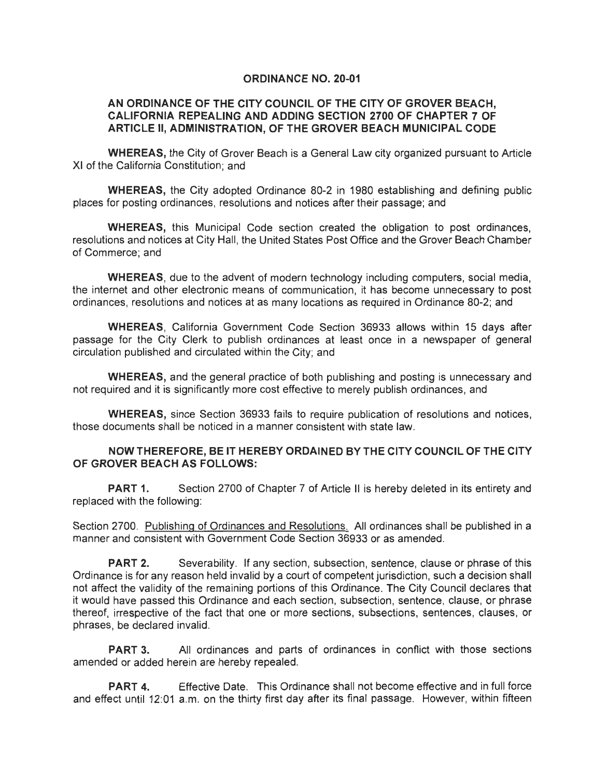## **ORDINANCE NO. 20-01**

## **AN ORDINANCE OF THE CITY COUNCIL OF THE CITY OF GROVER BEACH, CALIFORNIA REPEALING AND ADDING SECTION 2700 OF CHAPTER 7 OF ARTICLE II, ADMINISTRATION, OF THE GROVER BEACH MUNICIPAL CODE**

**WHEREAS,** the City of Grover Beach is a General Law city organized pursuant to Article XI of the California Constitution; and

**WHEREAS,** the City adopted Ordinance 80-2 in 1980 establishing and defining public places for posting ordinances, resolutions and notices after their passage; and

**WHEREAS,** this Municipal Code section created the obligation to post ordinances, resolutions and notices at City Hall, the United States Post Office and the Grover Beach Chamber of Commerce; and

**WHEREAS,** due to the advent of modern technology including computers, social media, the internet and other electronic means of communication, it has become unnecessary to post ordinances, resolutions and notices at as many locations as required in Ordinance 80-2; and

**WHEREAS,** California Government Code Section 36933 allows within 15 days after passage for the City Clerk to publish ordinances at least once in a newspaper of general circulation published and circulated within the City; and

**WHEREAS,** and the general practice of both publishing and posting is unnecessary and not required and it is significantly more cost effective to merely publish ordinances, and

**WHEREAS,** since Section 36933 fails to require publication of resolutions and notices, those documents shall be noticed in a manner consistent with state law.

## **NOW THEREFORE, BE IT HEREBY ORDAINED BY THE CITY COUNCIL OF THE CITY OF GROVER BEACH AS FOLLOWS:**

**PART 1.** Section 2700 of Chapter 7 of Article II is hereby deleted in its entirety and replaced with the following:

Section 2700. Publishing of Ordinances and Resolutions. All ordinances shall be published in a manner and consistent with Government Code Section 36933 or as amended.

**PART 2.** Severability. If any section, subsection, sentence, clause or phrase of this Ordinance is for any reason held invalid by a court of competent jurisdiction, such a decision shall not affect the validity of the remaining portions of this Ordinance. The City Council declares that it would have passed this Ordinance and each section, subsection, sentence, clause, or phrase thereof, irrespective of the fact that one or more sections, subsections, sentences, clauses, or phrases, be declared invalid.

**PART 3.** All ordinances and parts of ordinances in conflict with those sections amended or added herein are hereby repealed.

**PART 4.** Effective Date. This Ordinance shall not become effective and in full force and effect until 12:01 a.m. on the thirty first day after its final passage. However, within fifteen